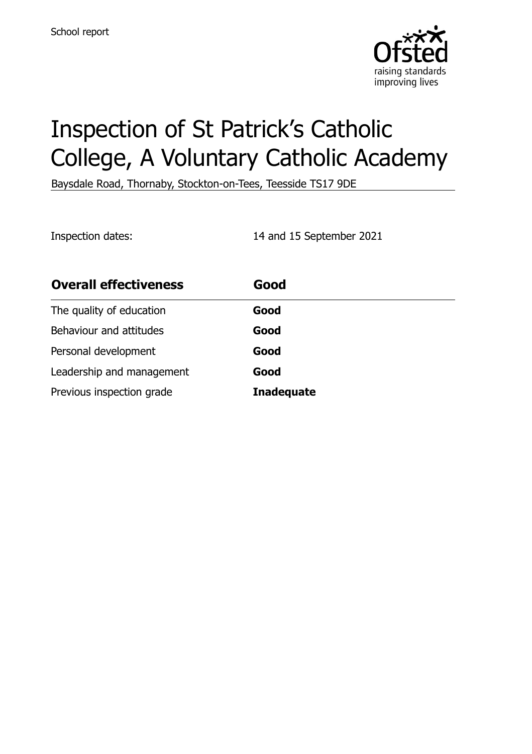

# Inspection of St Patrick's Catholic College, A Voluntary Catholic Academy

Baysdale Road, Thornaby, Stockton-on-Tees, Teesside TS17 9DE

Inspection dates: 14 and 15 September 2021

| <b>Overall effectiveness</b> | Good              |
|------------------------------|-------------------|
| The quality of education     | Good              |
| Behaviour and attitudes      | Good              |
| Personal development         | Good              |
| Leadership and management    | Good              |
| Previous inspection grade    | <b>Inadequate</b> |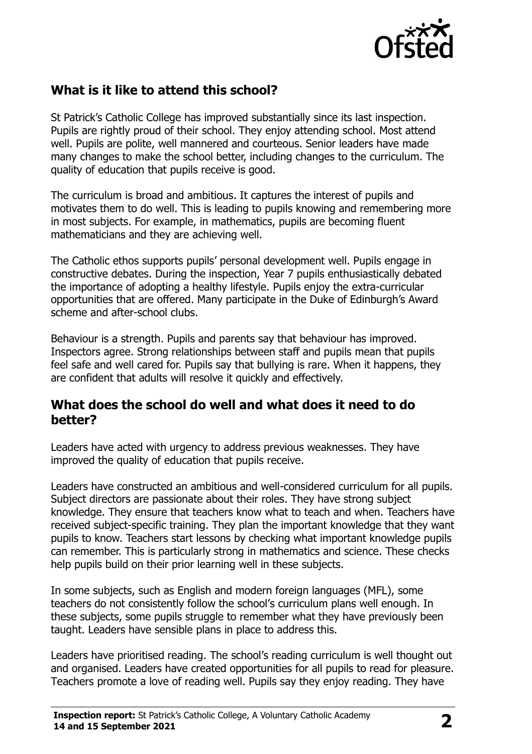

# **What is it like to attend this school?**

St Patrick's Catholic College has improved substantially since its last inspection. Pupils are rightly proud of their school. They enjoy attending school. Most attend well. Pupils are polite, well mannered and courteous. Senior leaders have made many changes to make the school better, including changes to the curriculum. The quality of education that pupils receive is good.

The curriculum is broad and ambitious. It captures the interest of pupils and motivates them to do well. This is leading to pupils knowing and remembering more in most subjects. For example, in mathematics, pupils are becoming fluent mathematicians and they are achieving well.

The Catholic ethos supports pupils' personal development well. Pupils engage in constructive debates. During the inspection, Year 7 pupils enthusiastically debated the importance of adopting a healthy lifestyle. Pupils enjoy the extra-curricular opportunities that are offered. Many participate in the Duke of Edinburgh's Award scheme and after-school clubs.

Behaviour is a strength. Pupils and parents say that behaviour has improved. Inspectors agree. Strong relationships between staff and pupils mean that pupils feel safe and well cared for. Pupils say that bullying is rare. When it happens, they are confident that adults will resolve it quickly and effectively.

#### **What does the school do well and what does it need to do better?**

Leaders have acted with urgency to address previous weaknesses. They have improved the quality of education that pupils receive.

Leaders have constructed an ambitious and well-considered curriculum for all pupils. Subject directors are passionate about their roles. They have strong subject knowledge. They ensure that teachers know what to teach and when. Teachers have received subject-specific training. They plan the important knowledge that they want pupils to know. Teachers start lessons by checking what important knowledge pupils can remember. This is particularly strong in mathematics and science. These checks help pupils build on their prior learning well in these subjects.

In some subjects, such as English and modern foreign languages (MFL), some teachers do not consistently follow the school's curriculum plans well enough. In these subjects, some pupils struggle to remember what they have previously been taught. Leaders have sensible plans in place to address this.

Leaders have prioritised reading. The school's reading curriculum is well thought out and organised. Leaders have created opportunities for all pupils to read for pleasure. Teachers promote a love of reading well. Pupils say they enjoy reading. They have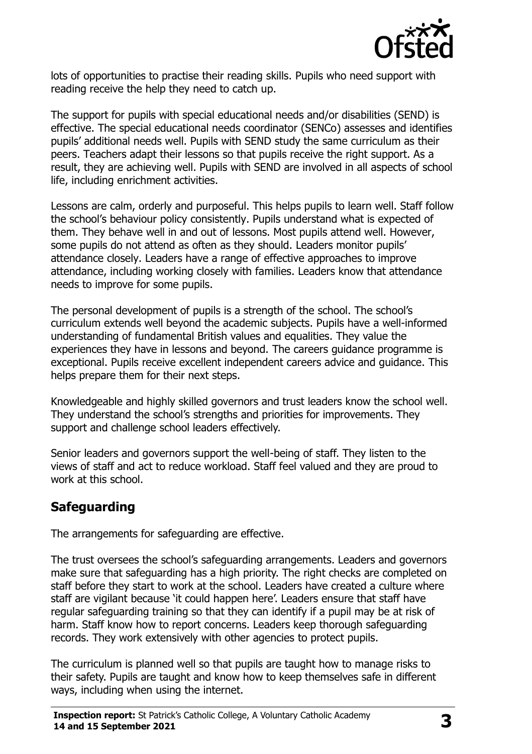

lots of opportunities to practise their reading skills. Pupils who need support with reading receive the help they need to catch up.

The support for pupils with special educational needs and/or disabilities (SEND) is effective. The special educational needs coordinator (SENCo) assesses and identifies pupils' additional needs well. Pupils with SEND study the same curriculum as their peers. Teachers adapt their lessons so that pupils receive the right support. As a result, they are achieving well. Pupils with SEND are involved in all aspects of school life, including enrichment activities.

Lessons are calm, orderly and purposeful. This helps pupils to learn well. Staff follow the school's behaviour policy consistently. Pupils understand what is expected of them. They behave well in and out of lessons. Most pupils attend well. However, some pupils do not attend as often as they should. Leaders monitor pupils' attendance closely. Leaders have a range of effective approaches to improve attendance, including working closely with families. Leaders know that attendance needs to improve for some pupils.

The personal development of pupils is a strength of the school. The school's curriculum extends well beyond the academic subjects. Pupils have a well-informed understanding of fundamental British values and equalities. They value the experiences they have in lessons and beyond. The careers guidance programme is exceptional. Pupils receive excellent independent careers advice and guidance. This helps prepare them for their next steps.

Knowledgeable and highly skilled governors and trust leaders know the school well. They understand the school's strengths and priorities for improvements. They support and challenge school leaders effectively.

Senior leaders and governors support the well-being of staff. They listen to the views of staff and act to reduce workload. Staff feel valued and they are proud to work at this school.

# **Safeguarding**

The arrangements for safeguarding are effective.

The trust oversees the school's safeguarding arrangements. Leaders and governors make sure that safeguarding has a high priority. The right checks are completed on staff before they start to work at the school. Leaders have created a culture where staff are vigilant because 'it could happen here'. Leaders ensure that staff have regular safeguarding training so that they can identify if a pupil may be at risk of harm. Staff know how to report concerns. Leaders keep thorough safeguarding records. They work extensively with other agencies to protect pupils.

The curriculum is planned well so that pupils are taught how to manage risks to their safety. Pupils are taught and know how to keep themselves safe in different ways, including when using the internet.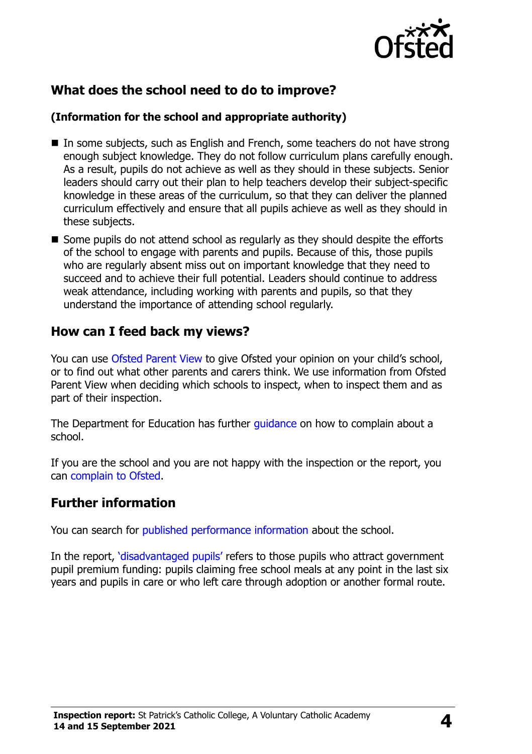

# **What does the school need to do to improve?**

#### **(Information for the school and appropriate authority)**

- In some subjects, such as English and French, some teachers do not have strong enough subject knowledge. They do not follow curriculum plans carefully enough. As a result, pupils do not achieve as well as they should in these subjects. Senior leaders should carry out their plan to help teachers develop their subject-specific knowledge in these areas of the curriculum, so that they can deliver the planned curriculum effectively and ensure that all pupils achieve as well as they should in these subjects.
- Some pupils do not attend school as regularly as they should despite the efforts of the school to engage with parents and pupils. Because of this, those pupils who are regularly absent miss out on important knowledge that they need to succeed and to achieve their full potential. Leaders should continue to address weak attendance, including working with parents and pupils, so that they understand the importance of attending school regularly.

### **How can I feed back my views?**

You can use [Ofsted Parent View](http://parentview.ofsted.gov.uk/) to give Ofsted your opinion on your child's school, or to find out what other parents and carers think. We use information from Ofsted Parent View when deciding which schools to inspect, when to inspect them and as part of their inspection.

The Department for Education has further quidance on how to complain about a school.

If you are the school and you are not happy with the inspection or the report, you can [complain to Ofsted.](http://www.gov.uk/complain-ofsted-report)

### **Further information**

You can search for [published performance information](http://www.compare-school-performance.service.gov.uk/) about the school.

In the report, '[disadvantaged pupils](http://www.gov.uk/guidance/pupil-premium-information-for-schools-and-alternative-provision-settings)' refers to those pupils who attract government pupil premium funding: pupils claiming free school meals at any point in the last six years and pupils in care or who left care through adoption or another formal route.

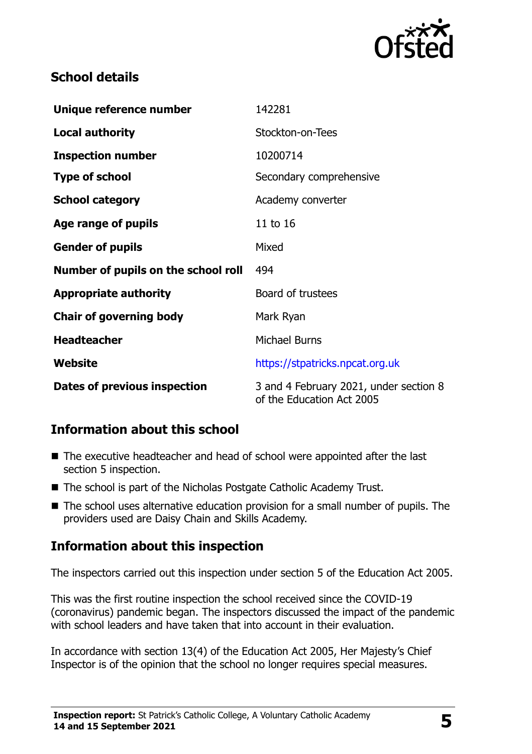

## **School details**

| Unique reference number             | 142281                                                              |  |
|-------------------------------------|---------------------------------------------------------------------|--|
| <b>Local authority</b>              | Stockton-on-Tees                                                    |  |
| <b>Inspection number</b>            | 10200714                                                            |  |
| <b>Type of school</b>               | Secondary comprehensive                                             |  |
| <b>School category</b>              | Academy converter                                                   |  |
| Age range of pupils                 | 11 to 16                                                            |  |
| <b>Gender of pupils</b>             | Mixed                                                               |  |
| Number of pupils on the school roll | 494                                                                 |  |
| <b>Appropriate authority</b>        | Board of trustees                                                   |  |
| <b>Chair of governing body</b>      | Mark Ryan                                                           |  |
| <b>Headteacher</b>                  | <b>Michael Burns</b>                                                |  |
| <b>Website</b>                      | https://stpatricks.npcat.org.uk                                     |  |
| <b>Dates of previous inspection</b> | 3 and 4 February 2021, under section 8<br>of the Education Act 2005 |  |

# **Information about this school**

- The executive headteacher and head of school were appointed after the last section 5 inspection.
- The school is part of the Nicholas Postgate Catholic Academy Trust.
- The school uses alternative education provision for a small number of pupils. The providers used are Daisy Chain and Skills Academy.

# **Information about this inspection**

The inspectors carried out this inspection under section 5 of the Education Act 2005.

This was the first routine inspection the school received since the COVID-19 (coronavirus) pandemic began. The inspectors discussed the impact of the pandemic with school leaders and have taken that into account in their evaluation.

In accordance with section 13(4) of the Education Act 2005, Her Majesty's Chief Inspector is of the opinion that the school no longer requires special measures.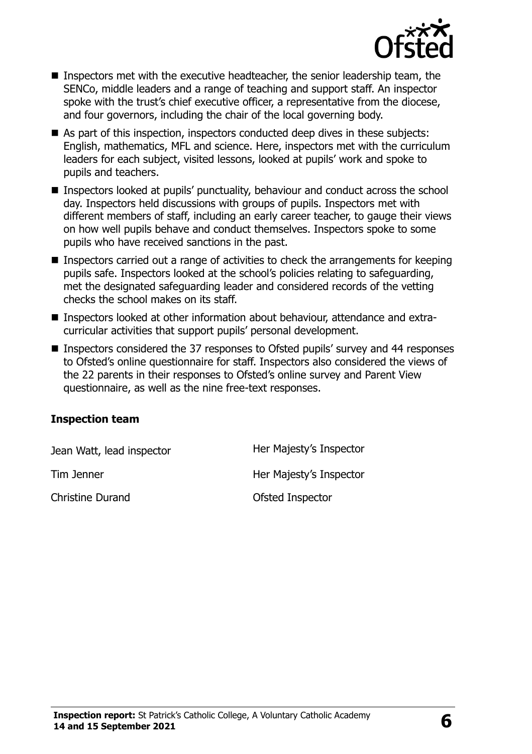

- Inspectors met with the executive headteacher, the senior leadership team, the SENCo, middle leaders and a range of teaching and support staff. An inspector spoke with the trust's chief executive officer, a representative from the diocese, and four governors, including the chair of the local governing body.
- As part of this inspection, inspectors conducted deep dives in these subjects: English, mathematics, MFL and science. Here, inspectors met with the curriculum leaders for each subject, visited lessons, looked at pupils' work and spoke to pupils and teachers.
- Inspectors looked at pupils' punctuality, behaviour and conduct across the school day. Inspectors held discussions with groups of pupils. Inspectors met with different members of staff, including an early career teacher, to gauge their views on how well pupils behave and conduct themselves. Inspectors spoke to some pupils who have received sanctions in the past.
- Inspectors carried out a range of activities to check the arrangements for keeping pupils safe. Inspectors looked at the school's policies relating to safeguarding, met the designated safeguarding leader and considered records of the vetting checks the school makes on its staff.
- Inspectors looked at other information about behaviour, attendance and extracurricular activities that support pupils' personal development.
- Inspectors considered the 37 responses to Ofsted pupils' survey and 44 responses to Ofsted's online questionnaire for staff. Inspectors also considered the views of the 22 parents in their responses to Ofsted's online survey and Parent View questionnaire, as well as the nine free-text responses.

#### **Inspection team**

| Jean Watt, lead inspector | Her Majesty's Inspector |
|---------------------------|-------------------------|
| Tim Jenner                | Her Majesty's Inspector |
| <b>Christine Durand</b>   | Ofsted Inspector        |